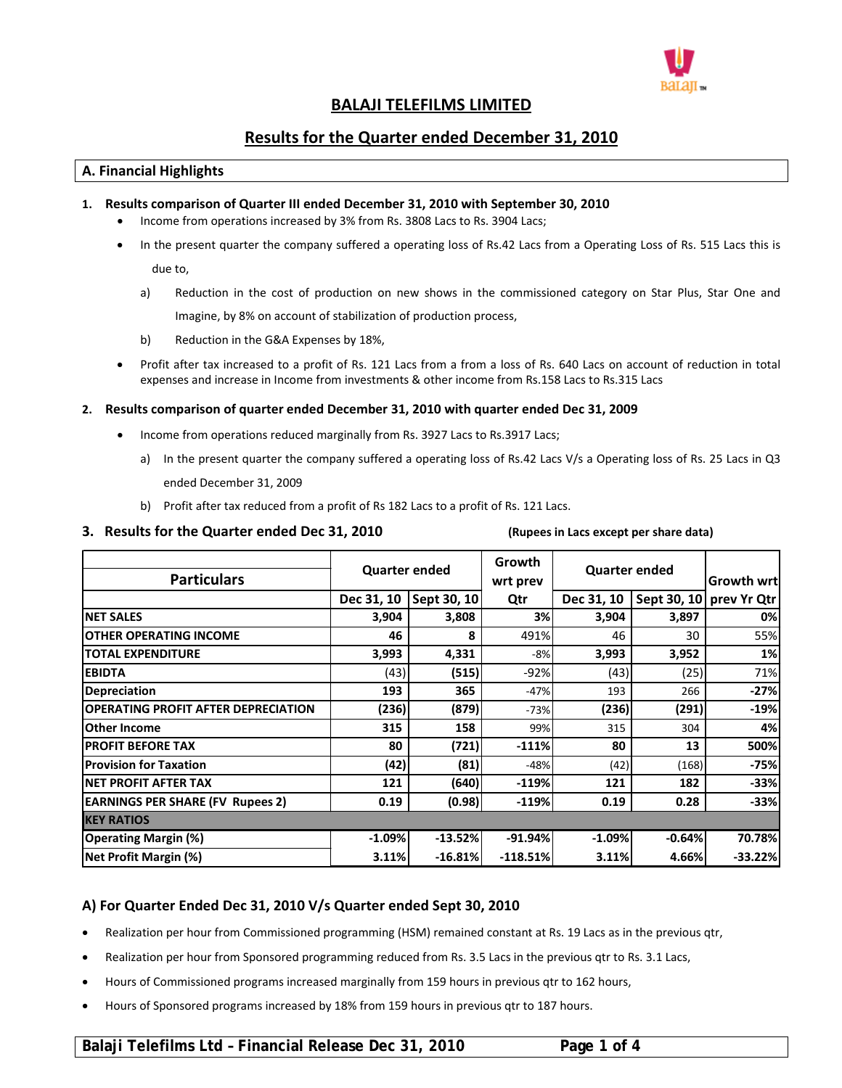

# **BALAJI TELEFILMS LIMITED**

# **Results for the Quarter ended December 31, 2010**

## **A. Financial Highlights**

## **1. Results comparison of Quarter III ended December 31, 2010 with September 30, 2010**

- Income from operations increased by 3% from Rs. 3808 Lacs to Rs. 3904 Lacs;
- In the present quarter the company suffered a operating loss of Rs.42 Lacs from a Operating Loss of Rs. 515 Lacs this is

due to,

- a) Reduction in the cost of production on new shows in the commissioned category on Star Plus, Star One and Imagine, by 8% on account of stabilization of production process,
- b) Reduction in the G&A Expenses by 18%,
- Profit after tax increased to a profit of Rs. 121 Lacs from a from a loss of Rs. 640 Lacs on account of reduction in total expenses and increase in Income from investments & other income from Rs.158 Lacs to Rs.315 Lacs

### **2. Results comparison of quarter ended December 31, 2010 with quarter ended Dec 31, 2009**

- Income from operations reduced marginally from Rs. 3927 Lacs to Rs.3917 Lacs;
	- a) In the present quarter the company suffered a operating loss of Rs.42 Lacs V/s a Operating loss of Rs. 25 Lacs in Q3 ended December 31, 2009
	- b) Profit after tax reduced from a profit of Rs 182 Lacs to a profit of Rs. 121 Lacs.

### 3. Results for the Quarter ended Dec 31, 2010 (Rupees in Lacs except per share data)

| <b>Particulars</b>                         | <b>Quarter ended</b> |             | Growth<br><b>Quarter ended</b><br>wrt prev |            |          | Growth wrtl             |  |  |
|--------------------------------------------|----------------------|-------------|--------------------------------------------|------------|----------|-------------------------|--|--|
|                                            | Dec 31, 10           | Sept 30, 10 | Qtr                                        | Dec 31, 10 |          | Sept 30, 10 prev Yr Qtr |  |  |
| <b>NET SALES</b>                           | 3,904                | 3,808       | 3%                                         | 3,904      | 3,897    | 0%                      |  |  |
| <b>OTHER OPERATING INCOME</b>              | 46                   | 8           | 491%                                       | 46         | 30       | 55%                     |  |  |
| <b>TOTAL EXPENDITURE</b>                   | 3,993                | 4,331       | $-8%$                                      | 3,993      | 3,952    | 1%                      |  |  |
| <b>EBIDTA</b>                              | (43)                 | (515)       | $-92%$                                     | (43)       | (25)     | 71%                     |  |  |
| <b>Depreciation</b>                        | 193                  | 365         | $-47%$                                     | 193        | 266      | $-27%$                  |  |  |
| <b>OPERATING PROFIT AFTER DEPRECIATION</b> | (236)                | (879)       | $-73%$                                     | (236)      | (291)    | $-19%$                  |  |  |
| <b>Other Income</b>                        | 315                  | 158         | 99%                                        | 315        | 304      | 4%                      |  |  |
| <b>PROFIT BEFORE TAX</b>                   | 80                   | (721)       | $-111%$                                    | 80         | 13       | 500%                    |  |  |
| <b>Provision for Taxation</b>              | (42)                 | (81)        | $-48%$                                     | (42)       | (168)    | $-75%$                  |  |  |
| <b>NET PROFIT AFTER TAX</b>                | 121                  | (640)       | $-119%$                                    | 121        | 182      | $-33%$                  |  |  |
| <b>EARNINGS PER SHARE (FV Rupees 2)</b>    | 0.19                 | (0.98)      | $-119%$                                    | 0.19       | 0.28     | $-33%$                  |  |  |
| <b>IKEY RATIOS</b>                         |                      |             |                                            |            |          |                         |  |  |
| <b>Operating Margin (%)</b>                | $-1.09%$             | $-13.52%$   | $-91.94%$                                  | $-1.09%$   | $-0.64%$ | 70.78%                  |  |  |
| Net Profit Margin (%)                      | 3.11%                | $-16.81%$   | $-118.51%$                                 | 3.11%      | 4.66%    | $-33.22%$               |  |  |

# **A) For Quarter Ended Dec 31, 2010 V/s Quarter ended Sept 30, 2010**

- Realization per hour from Commissioned programming (HSM) remained constant at Rs. 19 Lacs as in the previous qtr,
- Realization per hour from Sponsored programming reduced from Rs. 3.5 Lacs in the previous qtr to Rs. 3.1 Lacs,
- Hours of Commissioned programs increased marginally from 159 hours in previous qtr to 162 hours,
- Hours of Sponsored programs increased by 18% from 159 hours in previous qtr to 187 hours.

# **Balaji Telefilms Ltd – Financial Release Dec 31, 2010 Page 1 of 4**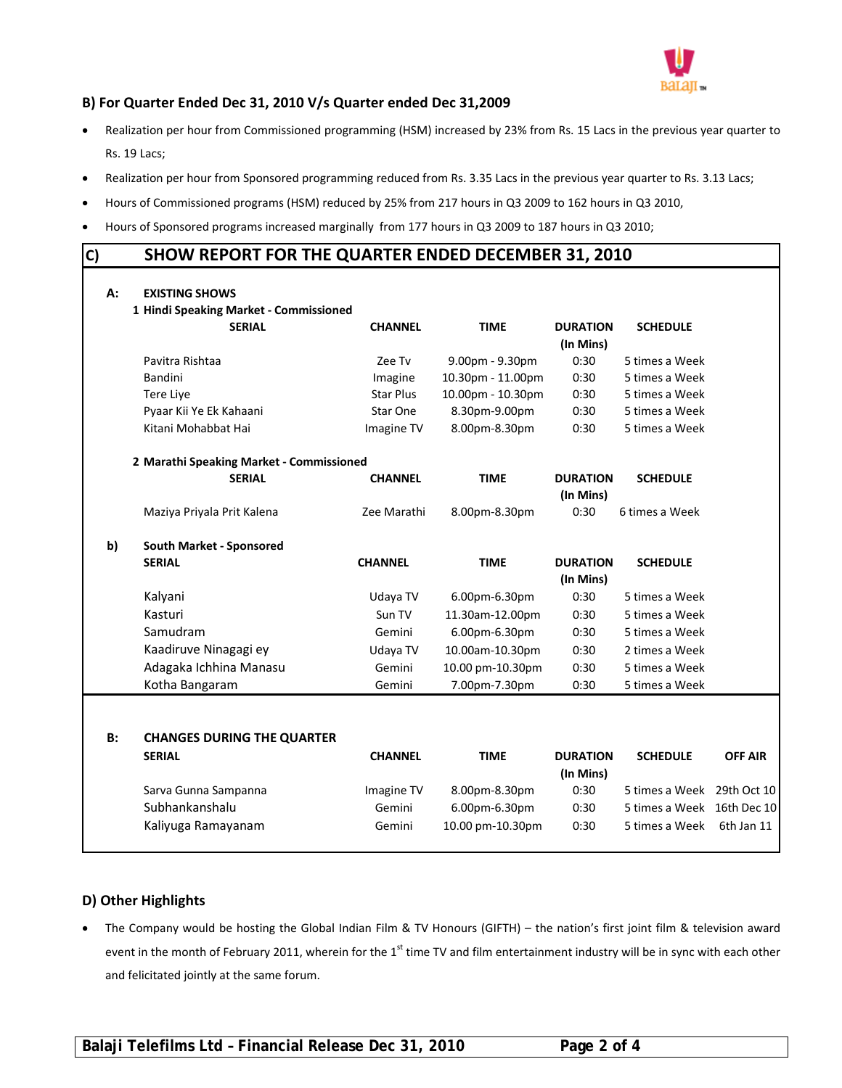

# **B) For Quarter Ended Dec 31, 2010 V/s Quarter ended Dec 31,2009**

- Realization per hour from Commissioned programming (HSM) increased by 23% from Rs. 15 Lacs in the previous year quarter to Rs. 19 Lacs;
- Realization per hour from Sponsored programming reduced from Rs. 3.35 Lacs in the previous year quarter to Rs. 3.13 Lacs;
- Hours of Commissioned programs (HSM) reduced by 25% from 217 hours in Q3 2009 to 162 hours in Q3 2010,
- Hours of Sponsored programs increased marginally from 177 hours in Q3 2009 to 187 hours in Q3 2010;

# **C) SHOW REPORT FOR THE QUARTER ENDED DECEMBER 31, 2010**

|    | 1 Hindi Speaking Market - Commissioned   |                |                   |                              |                            |                |
|----|------------------------------------------|----------------|-------------------|------------------------------|----------------------------|----------------|
|    | <b>SERIAL</b>                            | <b>CHANNEL</b> | <b>TIME</b>       | <b>DURATION</b><br>(In Mins) | <b>SCHEDULE</b>            |                |
|    | Pavitra Rishtaa                          | Zee Tv         | 9.00pm - 9.30pm   | 0:30                         | 5 times a Week             |                |
|    | Bandini                                  | Imagine        | 10.30pm - 11.00pm | 0:30                         | 5 times a Week             |                |
|    | Tere Live                                | Star Plus      | 10.00pm - 10.30pm | 0:30                         | 5 times a Week             |                |
|    | Pyaar Kii Ye Ek Kahaani                  | Star One       | 8.30pm-9.00pm     | 0:30                         | 5 times a Week             |                |
|    | Kitani Mohabbat Hai                      | Imagine TV     | 8.00pm-8.30pm     | 0:30                         | 5 times a Week             |                |
|    | 2 Marathi Speaking Market - Commissioned |                |                   |                              |                            |                |
|    | <b>SERIAL</b>                            | <b>CHANNEL</b> | <b>TIME</b>       | <b>DURATION</b><br>(In Mins) | <b>SCHEDULE</b>            |                |
|    | Maziya Priyala Prit Kalena               | Zee Marathi    | 8.00pm-8.30pm     | 0:30                         | 6 times a Week             |                |
| b) | South Market - Sponsored                 |                |                   |                              |                            |                |
|    | <b>SERIAL</b>                            | <b>CHANNEL</b> | <b>TIME</b>       | <b>DURATION</b><br>(In Mins) | <b>SCHEDULE</b>            |                |
|    | Kalyani                                  | Udaya TV       | 6.00pm-6.30pm     | 0:30                         | 5 times a Week             |                |
|    | Kasturi                                  | Sun TV         | 11.30am-12.00pm   | 0:30                         | 5 times a Week             |                |
|    | Samudram                                 | Gemini         | 6.00pm-6.30pm     | 0:30                         | 5 times a Week             |                |
|    | Kaadiruve Ninagagi ey                    | Udaya TV       | 10.00am-10.30pm   | 0:30                         | 2 times a Week             |                |
|    | Adagaka Ichhina Manasu                   | Gemini         | 10.00 pm-10.30pm  | 0:30                         | 5 times a Week             |                |
|    | Kotha Bangaram                           | Gemini         | 7.00pm-7.30pm     | 0:30                         | 5 times a Week             |                |
|    |                                          |                |                   |                              |                            |                |
| B: | <b>CHANGES DURING THE QUARTER</b>        |                |                   |                              |                            |                |
|    | <b>SERIAL</b>                            | <b>CHANNEL</b> | <b>TIME</b>       | <b>DURATION</b><br>(In Mins) | <b>SCHEDULE</b>            | <b>OFF AIR</b> |
|    | Sarva Gunna Sampanna                     | Imagine TV     | 8.00pm-8.30pm     | 0:30                         | 5 times a Week 29th Oct 10 |                |
|    | Subhankanshalu                           | Gemini         | 6.00pm-6.30pm     | 0:30                         | 5 times a Week 16th Dec 10 |                |
|    | Kaliyuga Ramayanam                       | Gemini         | 10.00 pm-10.30pm  | 0:30                         | 5 times a Week             | 6th Jan 11     |

# **D) Other Highlights**

 The Company would be hosting the Global Indian Film & TV Honours (GIFTH) – the nation's first joint film & television award event in the month of February 2011, wherein for the 1<sup>st</sup> time TV and film entertainment industry will be in sync with each other and felicitated jointly at the same forum.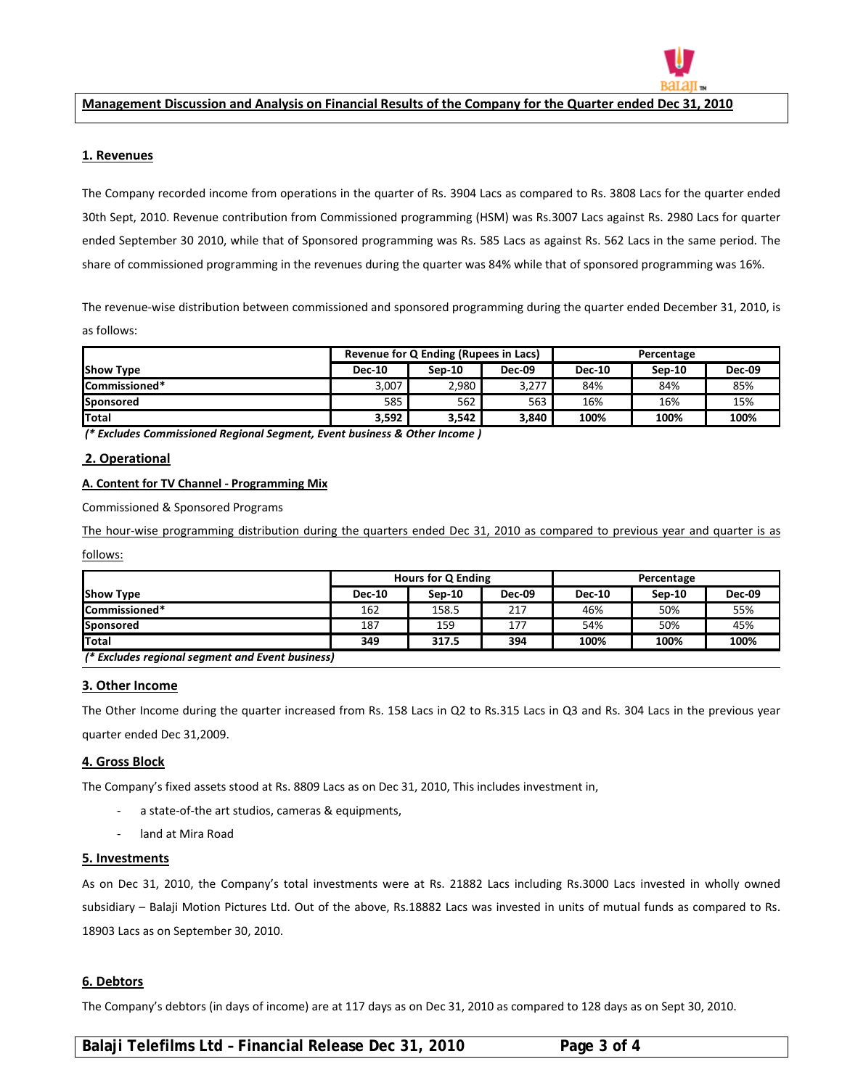

#### **Management Discussion and Analysis on Financial Results of the Company for the Quarter ended Dec 31, 2010**

#### **1. Revenues**

 $\overline{a}$ 

The Company recorded income from operations in the quarter of Rs. 3904 Lacs as compared to Rs. 3808 Lacs for the quarter ended 30th Sept, 2010. Revenue contribution from Commissioned programming (HSM) was Rs.3007 Lacs against Rs. 2980 Lacs for quarter ended September 30 2010, while that of Sponsored programming was Rs. 585 Lacs as against Rs. 562 Lacs in the same period. The share of commissioned programming in the revenues during the quarter was 84% while that of sponsored programming was 16%.

The revenue‐wise distribution between commissioned and sponsored programming during the quarter ended December 31, 2010, is as follows:

|                  | Revenue for Q Ending (Rupees in Lacs) |          |               | Percentage    |        |               |
|------------------|---------------------------------------|----------|---------------|---------------|--------|---------------|
| <b>Show Type</b> | <b>Dec-10</b>                         | $Sen-10$ | <b>Dec-09</b> | <b>Dec-10</b> | Sep-10 | <b>Dec-09</b> |
| Commissioned*    | 3,007                                 | 2,980    | 3,277         | 84%           | 84%    | 85%           |
| <b>Sponsored</b> | 585                                   | 562      | 563           | 16%           | 16%    | 15%           |
| <b>Total</b>     | 3,592                                 | 3,542    | 3.840         | 100%          | 100%   | 100%          |

*(\* Excludes Commissioned Regional Segment, Event business & Other Income )*

#### **2. Operational**

#### **A. Content for TV Channel ‐ Programming Mix**

Commissioned & Sponsored Programs

The hour‐wise programming distribution during the quarters ended Dec 31, 2010 as compared to previous year and quarter is as

follows:

|                                                  | Hours for Q Ending |          |               | Percentage    |        |               |  |
|--------------------------------------------------|--------------------|----------|---------------|---------------|--------|---------------|--|
| <b>Show Type</b>                                 | <b>Dec-10</b>      | $Sen-10$ | <b>Dec-09</b> | <b>Dec-10</b> | Sep-10 | <b>Dec-09</b> |  |
| <b>Commissioned*</b>                             | 162                | 158.5    | 217           | 46%           | 50%    | 55%           |  |
| Sponsored                                        | 187                | 159      | 177           | 54%           | 50%    | 45%           |  |
| <b>Total</b>                                     | 349                | 317.5    | 394           | 100%          | 100%   | 100%          |  |
| 1* Evaludge regional compant and Evant business) |                    |          |               |               |        |               |  |

*(\* Excludes regional segment and Event business)*

#### **3. Other Income**

The Other Income during the quarter increased from Rs. 158 Lacs in Q2 to Rs.315 Lacs in Q3 and Rs. 304 Lacs in the previous year quarter ended Dec 31,2009.

#### **4. Gross Block**

The Company's fixed assets stood at Rs. 8809 Lacs as on Dec 31, 2010, This includes investment in,

- ‐ a state‐of‐the art studios, cameras & equipments,
- ‐ land at Mira Road

#### **5. Investments**

As on Dec 31, 2010, the Company's total investments were at Rs. 21882 Lacs including Rs.3000 Lacs invested in wholly owned subsidiary – Balaji Motion Pictures Ltd. Out of the above, Rs.18882 Lacs was invested in units of mutual funds as compared to Rs. 18903 Lacs as on September 30, 2010.

#### **6. Debtors**

The Company's debtors (in days of income) are at 117 days as on Dec 31, 2010 as compared to 128 days as on Sept 30, 2010.

# **Balaji Telefilms Ltd – Financial Release Dec 31, 2010 Page 3 of 4**